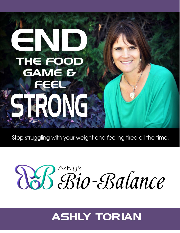## THE FOOL GAME & SRONG

Stop struggling with your weight and feeling tired all the time.

# Ressigne Balance

### **ASHLY TORIAN**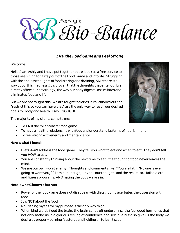### Ashly's Bio-Balance

#### *END the Food Game and Feel Strong*

#### Welcome!

Hello, I am Ashly and I have puttogether this e-book as a free service to those searching for a way out of the Food Game and into life. Struggling with the endless thoughts of food is tiring and draining, AND there is a way out of this madness. It is proven that the thoughts that enter our brain directly affect our physiology, the way our body digests, assimilates and eliminates food and life.

But we are not taught this. We are taught "calories in vs. calories out" or "restrict this so you can have that" are the only way to reach our desired goals for body and health. I say ENOUGH!

The majority of my clients come to me:

- To**END** the roller coaster food game
- To have a healthy relationship with food and understand its forms of nourishment
- To feel strong with energy and mental clarity

#### **Here is what I found:**

- Diets don't address the food game. They tell you what to eat and when to eat. They don't tell you HOW to eat.
- You are constantly thinking about the next time to eat…the thought of food never leaves the mind.
- We are our own worst enemy. Thoughts and comments like: "You are fat," "No one is ever going to want you," "I am not enough," invade our thoughts and the results are failed diets and fitness programs, AND hating the body we are in.

#### **HereiswhatIknowtobetrue:**

- Power of the food game does not disappear with diets; it only acerbates the obsession with food.
- It is NOT about the food
- Nourishing myself for my purpose is the only way to go
- When kind words flood the brain, the brain sends off endorphins…the feel good hormones that not only bathe us in a glorious feeling of confidence and self love but also give us the body we desire by properly burning fat stores and holding on to lean tissue.

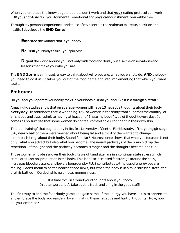When you embrace the knowledge that diets don't work and that **your** eating protocol can work FOR you (not AGAINST you) for mental, emotional and physical nourishment, you will be free.

Through my personal experiences and those of my clients in the realms of exercise, nutrition and health, I developed the **END Zone**:

**Embrace** the wonder that is your body

**Nourish** your body to fulfill your purpose

**Digest** the world around you, not only with food and drink, but also the observations and lessons that make you who you are.

The **END Zone** is a mindset, a way to think about **who** you are, what you wantto do, **AND** the body you need to do it in. It takes you out of the food game and into implementing that which you want toattain.

#### **Embrace:**

Do you feel you operate your daily tasks in your body? Or do you feel like it is a foreign aircraft?

Amazingly, studies show that on average women will have 13 negative thoughts about their body **everyday**. In addition to that, a whopping 97%of women in the study from all across the country, of all shapes and sizes, admit to having at least one "I hate my body" type of thought every day. It comes as no surprise that some women do notfeel comfortable / confident in their own skin.

This is a "training" that begins early in life. In a University of Central Florida study, of the young girls age 3-6, nearly half of them were worried about being fat and a third of the wanted to change s o m e t h i n g about their body. Sound familiar? Neuroscience shows that what you focus on is not only what you attract but also what you become. The neural pathways of the brain pick up the repetition of thought and the pathway becomes stronger and the thoughts become habitual.

Those women who obsess over their body, its weight and size, are in a continual state stress which stimulatesCortisol production in the body.This leads to increased fat storage around the belly, increases blood pressure, and lowers bone density PLUS contributes to this loss of energy you are feeling. I don't mean to be the bearer of bad news, but when the body is in a mild stressed state, the brain is bathed in Cortisol which promotes memory loss.

> It is time to turn around your thoughts about your body In other words, let's take out the trash and bring in the good stuff!

The first way to end the food/body game and gain some of the energy you have lost is to appreciate and embrace the body you reside in by eliminating these negative and hurtful thoughts. Now, how do you embrace?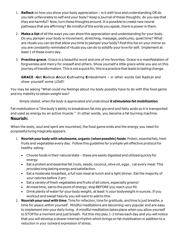- 1. **Reflect** on how you show your body appreciation is it with love and understanding OR do you talk unfavorably to self and your body? Keep a journal of these thoughts; do you see that they are harmful? Now, turn these thoughts around. It is possible to create new neural pathways that are affirming? Be mindful of the words you speak, there is power in them.
- 2. Make a list of all the ways you can show this appreciation and understanding for your body. Do you pamper your body w movement, stretching, massage, pedicures, quiet time? What are rituals you can do that allow you time to pamper your body? Postthis list on your mirror so you are constantly reminded of rituals you can do to solidify your love for self. Implement at least 1 of these every day.
- 3. **Practice grace**. Grace is a beautiful word and one of my favorites. Grace is a manifestation of forgiveness and mercy for oneself and others. Show yourself a little grace while you are on this journey of transformation. This is not a quick fix; this is a practice that leads to lasting change.

**GRACE -G**et **R**adical **A**bout **C**ultivating **E**mbodiment – in other words Get Radical and show yourself some LOVE!

You may be asking "What could my feelings about my body possibly have to do with this food game and my inability to obtain weight loss?

#### *Simply stated, when the body is appreciated and understood it stimulates fat mobilization.*

Fat mobilization is "the body's ability to breakdown fatinto glycerol and fatty acids so it is transported and used as energy by an active muscle." In other words, you become a fat burning machine. **Nourish:**

When the body, soul and spirit are nourished, the food game ends and the energy you need for purposeful living magically appears.

- 1. **Nourish yourbody with wholesome, organic (when possible) foods**. Protein, essentialfats,fresh fruits and vegetables every day. Follow this guideline for a simple yet effective protocolfor healthy eating:
	- Choose foods in their natural state these are easily digested and utilized quickly for energy
	- Eat a protein and essential fat (nuts, seeds, coconut, olive oil, eggs...) at every meal. This provides long lasting energy and satisfaction.
	- Eat a moderate breakfast, a full size meal at lunch and a light dinner. Eat the majority of your calories before 2 pm.
	- Eat a variety of fresh vegetables and fruits of all colors, especially greens!
	- At meal time, eat to the point of energy; stop BEFORE you reach your fill.
	- Drink plenty of water for your body weight; at least 1/2 your bodyweight in ounces. If you workout and sweat heavily you will want to add to this.
- 2. **Nourish your soul with time**. Time for reflection,time for gratitude, and time to just breathe, a time for peace within yourself. Mindful meditations are becoming very popular and are easy to implement into your daily living. A mindful meditation takes place when you allow yourself to STOP for a moment and just breath. Put this into play 1-2 times each day and you will notice that you will develop a slower internal rhythm which brings on fat mobilization in addition to a reduction in your outward expression of stress.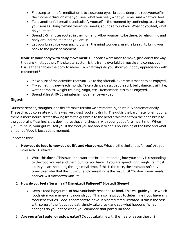- First step to mindful meditation is to close your eyes, breathe deep and root yourself in the moment through what you see, what you hear, what you smell and what you feel.
- Take another full breathe and solidify yourself in the moment by continuing to activate your senses. Bring to mind the sights, smells, sounds around you. What do you feel, what do you taste?
- Spend 3-5 minutes rooted in the moment. Allow yourself to be there, to relax mind and body around the moment you are in.
- Let your breath be your anchor, when the mind wonders, use the breath to bring you back to the present moment.
- 3. **Nourish your body with daily movement**. Our bodies were made to move, just look at the way they are knit together. The skeletal system is the frame overlaid by muscle and connective tissue that enables the body to move. In what ways do you show your body appreciation with movement?
	- Make a list of the activities that you like to do; after all, exercise is meant to be enjoyed.
	- Try something new each month. Take a dance class, paddle surf, belly dance, trail hike, water aerobics, weight training, yoga, etc... Remember, it is to be enjoyed.
	- Spendatleast40-60minutesinmovementeveryday.

#### **Digest:**

Our experiences, thoughts, and beliefs make us who we are mentally, spiritually and emotionally. These directly correlate with the way we digest food and drink. The gut is the barometer of emotions, there is more neural traffic flowing from the gut brain to the head brain than from the head brain to the gut brain. Meaning, slow down, breathe, and check in with your gut before meal time. When y o u tune in, your gut will tell you if the food you are about to eat is nourishing at the time and what amount of food is best at this moment.

#### Reflect on this:

- 1. **How you do food is how you do life and vice versa**. What are the similarities for you? Are you stressed? Or relaxed?
	- Write this down. This is an important step in understanding how your body is responding to the food you eat and the thoughts you have. If you are speeding through life, most likely you are speeding through meal time. If this is the case, the brain doesn't have time to register that the gut is full and overeating is the result. SLOW down your meals and you will slow down with life.

#### **2. How do you feel after a meal? Energized? Fatigued? Bloated? Sleepy?**

- Keep a food log/journal of how your body responds to food. This will guide you in which foods give you energy and nourish you. This also helps you to determine if you have any food sensitivities. Food is not meant to leave us bloated, tired, irritated. If this is the case with some of the foods you eat, simply take break and see what happens. What changes do you notice when you eliminate that particular food.
- 3. **Areyouafasteaterorasloweater?**Doyoutaketimewiththemealoreatontherun?